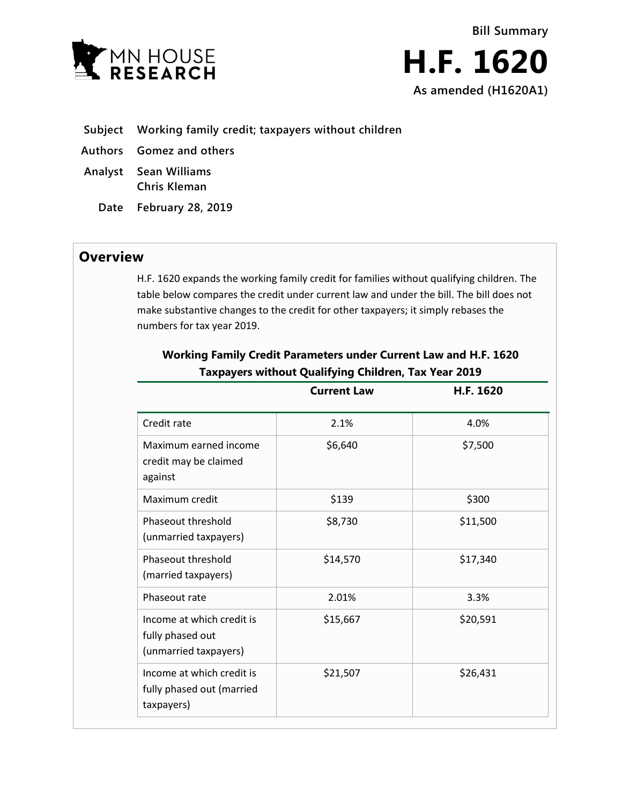



- **Subject Working family credit; taxpayers without children**
- **Authors Gomez and others**
- **Analyst Sean Williams Chris Kleman**
	- **Date February 28, 2019**

## **Overview**

H.F. 1620 expands the working family credit for families without qualifying children. The table below compares the credit under current law and under the bill. The bill does not make substantive changes to the credit for other taxpayers; it simply rebases the numbers for tax year 2019.

| Credit rate                                                            | 2.1%     | 4.0%     |
|------------------------------------------------------------------------|----------|----------|
| Maximum earned income<br>credit may be claimed<br>against              | \$6,640  | \$7,500  |
| Maximum credit                                                         | \$139    | \$300    |
| Phaseout threshold<br>(unmarried taxpayers)                            | \$8,730  | \$11,500 |
| Phaseout threshold<br>(married taxpayers)                              | \$14,570 | \$17,340 |
| Phaseout rate                                                          | 2.01%    | 3.3%     |
| Income at which credit is<br>fully phased out<br>(unmarried taxpayers) | \$15,667 | \$20,591 |
| Income at which credit is<br>fully phased out (married<br>taxpayers)   | \$21,507 | \$26,431 |

## **Working Family Credit Parameters under Current Law and H.F. 1620 Taxpayers without Qualifying Children, Tax Year 2019**

**Current Law H.F. 1620**